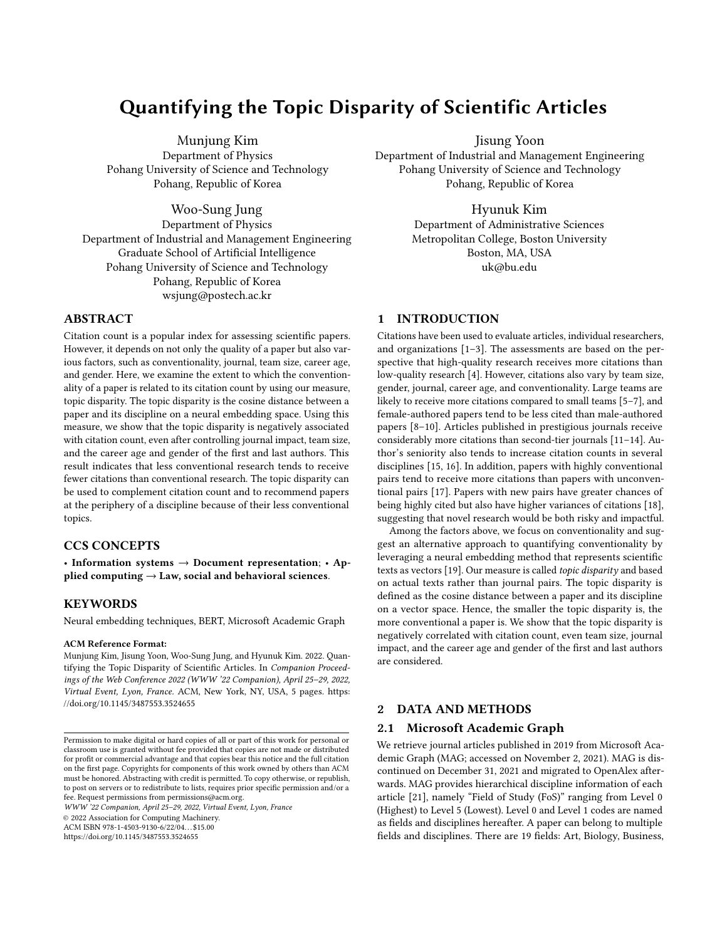# Quantifying the Topic Disparity of Scientific Articles

Munjung Kim Department of Physics Pohang University of Science and Technology Pohang, Republic of Korea

Woo-Sung Jung Department of Physics Department of Industrial and Management Engineering Graduate School of Artificial Intelligence Pohang University of Science and Technology Pohang, Republic of Korea wsjung@postech.ac.kr

## ABSTRACT

Citation count is a popular index for assessing scientific papers. However, it depends on not only the quality of a paper but also various factors, such as conventionality, journal, team size, career age, and gender. Here, we examine the extent to which the conventionality of a paper is related to its citation count by using our measure, topic disparity. The topic disparity is the cosine distance between a paper and its discipline on a neural embedding space. Using this measure, we show that the topic disparity is negatively associated with citation count, even after controlling journal impact, team size, and the career age and gender of the first and last authors. This result indicates that less conventional research tends to receive fewer citations than conventional research. The topic disparity can be used to complement citation count and to recommend papers at the periphery of a discipline because of their less conventional topics.

## CCS CONCEPTS

• Information systems  $\rightarrow$  Document representation; • Applied computing  $\rightarrow$  Law, social and behavioral sciences.

#### **KEYWORDS**

Neural embedding techniques, BERT, Microsoft Academic Graph

#### ACM Reference Format:

Munjung Kim, Jisung Yoon, Woo-Sung Jung, and Hyunuk Kim. 2022. Quantifying the Topic Disparity of Scientific Articles. In Companion Proceedings of the Web Conference 2022 (WWW '22 Companion), April 25–29, 2022, Virtual Event, Lyon, France. ACM, New York, NY, USA, [5](#page-4-0) pages. [https:](https://doi.org/10.1145/3487553.3524655) [//doi.org/10.1145/3487553.3524655](https://doi.org/10.1145/3487553.3524655)

WWW '22 Companion, April 25–29, 2022, Virtual Event, Lyon, France

© 2022 Association for Computing Machinery.

ACM ISBN 978-1-4503-9130-6/22/04. . . \$15.00

<https://doi.org/10.1145/3487553.3524655>

Jisung Yoon

Department of Industrial and Management Engineering Pohang University of Science and Technology Pohang, Republic of Korea

## Hyunuk Kim

Department of Administrative Sciences Metropolitan College, Boston University Boston, MA, USA uk@bu.edu

## 1 INTRODUCTION

Citations have been used to evaluate articles, individual researchers, and organizations [\[1–](#page-4-1)[3\]](#page-4-2). The assessments are based on the perspective that high-quality research receives more citations than low-quality research [\[4\]](#page-4-3). However, citations also vary by team size, gender, journal, career age, and conventionality. Large teams are likely to receive more citations compared to small teams [\[5–](#page-4-4)[7\]](#page-4-5), and female-authored papers tend to be less cited than male-authored papers [\[8–](#page-4-6)[10\]](#page-4-7). Articles published in prestigious journals receive considerably more citations than second-tier journals [\[11–](#page-4-8)[14\]](#page-4-9). Author's seniority also tends to increase citation counts in several disciplines [\[15,](#page-4-10) [16\]](#page-4-11). In addition, papers with highly conventional pairs tend to receive more citations than papers with unconventional pairs [\[17\]](#page-4-12). Papers with new pairs have greater chances of being highly cited but also have higher variances of citations [\[18\]](#page-4-13), suggesting that novel research would be both risky and impactful.

Among the factors above, we focus on conventionality and suggest an alternative approach to quantifying conventionality by leveraging a neural embedding method that represents scientific texts as vectors [\[19\]](#page-4-14). Our measure is called topic disparity and based on actual texts rather than journal pairs. The topic disparity is defined as the cosine distance between a paper and its discipline on a vector space. Hence, the smaller the topic disparity is, the more conventional a paper is. We show that the topic disparity is negatively correlated with citation count, even team size, journal impact, and the career age and gender of the first and last authors are considered.

## 2 DATA AND METHODS

#### 2.1 Microsoft Academic Graph

We retrieve journal articles published in 2019 from Microsoft Academic Graph (MAG; accessed on November 2, 2021). MAG is discontinued on December 31, 2021 and migrated to OpenAlex afterwards. MAG provides hierarchical discipline information of each article [\[21\]](#page-4-15), namely "Field of Study (FoS)" ranging from Level 0 (Highest) to Level 5 (Lowest). Level 0 and Level 1 codes are named as fields and disciplines hereafter. A paper can belong to multiple fields and disciplines. There are 19 fields: Art, Biology, Business,

Permission to make digital or hard copies of all or part of this work for personal or classroom use is granted without fee provided that copies are not made or distributed for profit or commercial advantage and that copies bear this notice and the full citation on the first page. Copyrights for components of this work owned by others than ACM must be honored. Abstracting with credit is permitted. To copy otherwise, or republish, to post on servers or to redistribute to lists, requires prior specific permission and/or a fee. Request permissions from permissions@acm.org.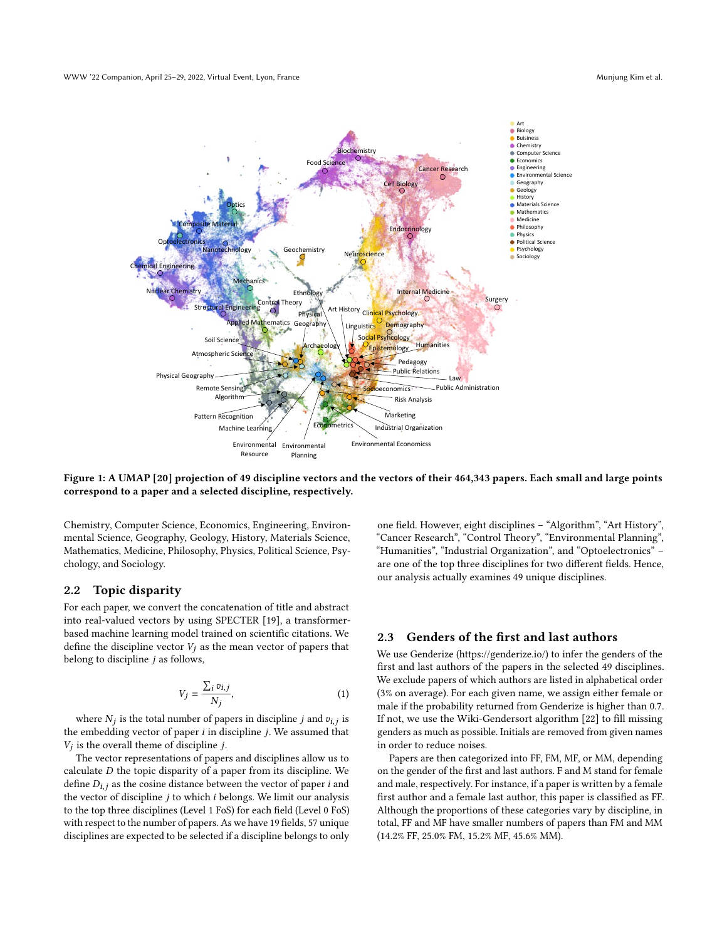<span id="page-1-0"></span>

Figure 1: A UMAP [\[20\]](#page-4-16) projection of 49 discipline vectors and the vectors of their 464,343 papers. Each small and large points correspond to a paper and a selected discipline, respectively.

Chemistry, Computer Science, Economics, Engineering, Environmental Science, Geography, Geology, History, Materials Science, Mathematics, Medicine, Philosophy, Physics, Political Science, Psychology, and Sociology.

#### <span id="page-1-1"></span>2.2 Topic disparity

For each paper, we convert the concatenation of title and abstract into real-valued vectors by using SPECTER [\[19\]](#page-4-14), a transformerbased machine learning model trained on scientific citations. We define the discipline vector  $V_j$  as the mean vector of papers that belong to discipline  $j$  as follows,

$$
V_j = \frac{\sum_i v_{i,j}}{N_j},\tag{1}
$$

where  $N_j$  is the total number of papers in discipline j and  $v_{i,j}$  is the embedding vector of paper  $i$  in discipline  $j$ . We assumed that  $V_j$  is the overall theme of discipline  $j$ .

The vector representations of papers and disciplines allow us to calculate  $D$  the topic disparity of a paper from its discipline. We define  $D_{i,j}$  as the cosine distance between the vector of paper *i* and the vector of discipline  $j$  to which  $i$  belongs. We limit our analysis to the top three disciplines (Level 1 FoS) for each field (Level 0 FoS) with respect to the number of papers. As we have 19 fields, 57 unique disciplines are expected to be selected if a discipline belongs to only one field. However, eight disciplines – "Algorithm", "Art History", "Cancer Research", "Control Theory", "Environmental Planning", "Humanities", "Industrial Organization", and "Optoelectronics" – are one of the top three disciplines for two different fields. Hence, our analysis actually examines 49 unique disciplines.

## 2.3 Genders of the first and last authors

We use Genderize [\(https://genderize.io/\)](https://genderize.io/) to infer the genders of the first and last authors of the papers in the selected 49 disciplines. We exclude papers of which authors are listed in alphabetical order (3% on average). For each given name, we assign either female or male if the probability returned from Genderize is higher than 0.7. If not, we use the Wiki-Gendersort algorithm [\[22\]](#page-4-17) to fill missing genders as much as possible. Initials are removed from given names in order to reduce noises.

Papers are then categorized into FF, FM, MF, or MM, depending on the gender of the first and last authors. F and M stand for female and male, respectively. For instance, if a paper is written by a female first author and a female last author, this paper is classified as FF. Although the proportions of these categories vary by discipline, in total, FF and MF have smaller numbers of papers than FM and MM (14.2% FF, 25.0% FM, 15.2% MF, 45.6% MM).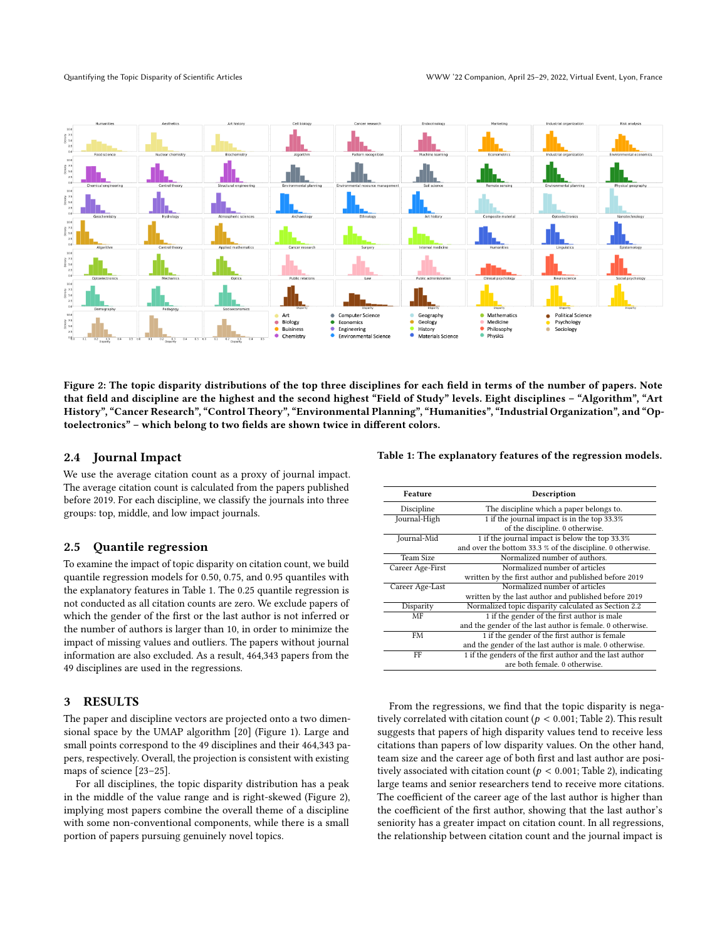<span id="page-2-1"></span>

Figure 2: The topic disparity distributions of the top three disciplines for each field in terms of the number of papers. Note that field and discipline are the highest and the second highest "Field of Study" levels. Eight disciplines – "Algorithm", "Art History", "Cancer Research", "Control Theory", "Environmental Planning", "Humanities", "Industrial Organization", and "Optoelectronics" – which belong to two fields are shown twice in different colors.

### 2.4 Journal Impact

We use the average citation count as a proxy of journal impact. The average citation count is calculated from the papers published before 2019. For each discipline, we classify the journals into three groups: top, middle, and low impact journals.

#### 2.5 Quantile regression

To examine the impact of topic disparity on citation count, we build quantile regression models for 0.50, 0.75, and 0.95 quantiles with the explanatory features in Table [1.](#page-2-0) The 0.25 quantile regression is not conducted as all citation counts are zero. We exclude papers of which the gender of the first or the last author is not inferred or the number of authors is larger than 10, in order to minimize the impact of missing values and outliers. The papers without journal information are also excluded. As a result, 464,343 papers from the 49 disciplines are used in the regressions.

## 3 RESULTS

The paper and discipline vectors are projected onto a two dimensional space by the UMAP algorithm [\[20\]](#page-4-16) (Figure [1\)](#page-1-0). Large and small points correspond to the 49 disciplines and their 464,343 papers, respectively. Overall, the projection is consistent with existing maps of science [\[23](#page-4-18)[–25\]](#page-4-19).

For all disciplines, the topic disparity distribution has a peak in the middle of the value range and is right-skewed (Figure [2\)](#page-2-1), implying most papers combine the overall theme of a discipline with some non-conventional components, while there is a small portion of papers pursuing genuinely novel topics.

<span id="page-2-0"></span>Table 1: The explanatory features of the regression models.

| Feature          | Description                                                |  |  |  |  |  |
|------------------|------------------------------------------------------------|--|--|--|--|--|
| Discipline       | The discipline which a paper belongs to.                   |  |  |  |  |  |
| Journal-High     | 1 if the journal impact is in the top 33.3%                |  |  |  |  |  |
|                  | of the discipline. 0 otherwise.                            |  |  |  |  |  |
| Journal-Mid      | 1 if the journal impact is below the top 33.3%             |  |  |  |  |  |
|                  | and over the bottom 33.3 % of the discipline. 0 otherwise. |  |  |  |  |  |
| Team Size        | Normalized number of authors.                              |  |  |  |  |  |
| Career Age-First | Normalized number of articles                              |  |  |  |  |  |
|                  | written by the first author and published before 2019      |  |  |  |  |  |
| Career Age-Last  | Normalized number of articles                              |  |  |  |  |  |
|                  | written by the last author and published before 2019       |  |  |  |  |  |
| Disparity        | Normalized topic disparity calculated as Section 2.2       |  |  |  |  |  |
| MF               | 1 if the gender of the first author is male                |  |  |  |  |  |
|                  | and the gender of the last author is female. 0 otherwise.  |  |  |  |  |  |
| FM               | 1 if the gender of the first author is female              |  |  |  |  |  |
|                  | and the gender of the last author is male. 0 otherwise.    |  |  |  |  |  |
| FF               | 1 if the genders of the first author and the last author   |  |  |  |  |  |
|                  | are both female. 0 otherwise.                              |  |  |  |  |  |

From the regressions, we find that the topic disparity is negatively correlated with citation count ( $p < 0.001$ ; Table [2\)](#page-3-0). This result suggests that papers of high disparity values tend to receive less citations than papers of low disparity values. On the other hand, team size and the career age of both first and last author are positively associated with citation count ( $p < 0.001$ ; Table [2\)](#page-3-0), indicating large teams and senior researchers tend to receive more citations. The coefficient of the career age of the last author is higher than the coefficient of the first author, showing that the last author's seniority has a greater impact on citation count. In all regressions, the relationship between citation count and the journal impact is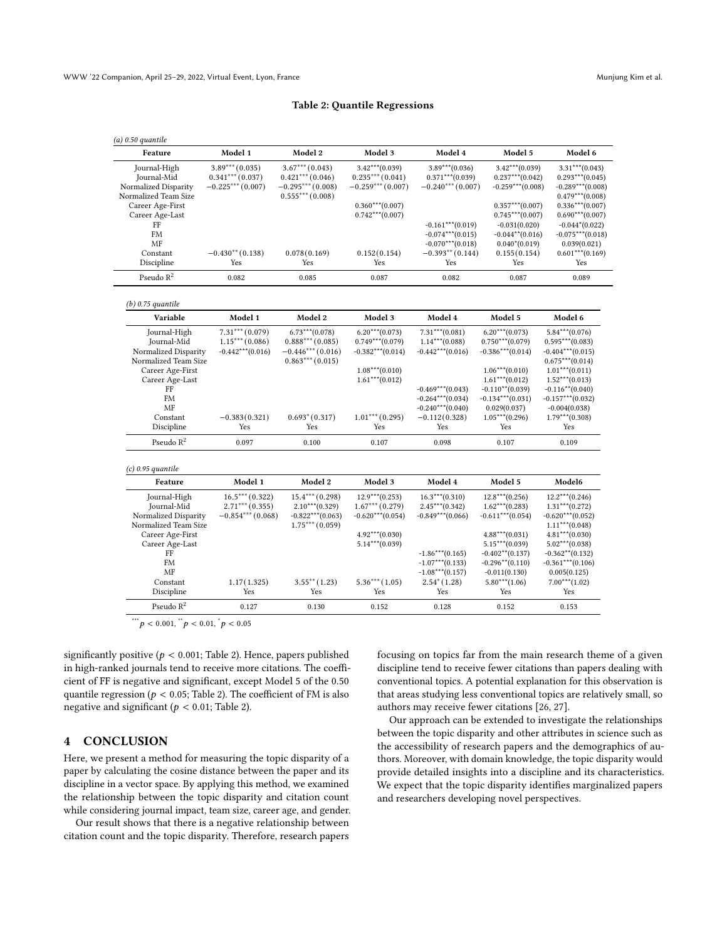#### Table 2: Quantile Regressions

<span id="page-3-0"></span>

| $(a)$ 0.50 quantile   |                     |                    |                     |                     |                     |                     |
|-----------------------|---------------------|--------------------|---------------------|---------------------|---------------------|---------------------|
| Feature               | Model 1             | Model 2            | Model 3             | Model 4             | Model 5             | Model 6             |
| Journal-High          | $3.89***(0.035)$    | $3.67***$ (0.043)  | $3.42***(0.039)$    | $3.89***$ (0.036)   | $3.42***(0.039)$    | $3.31***(0.043)$    |
| Journal-Mid           | $0.341***(0.037)$   | $0.421***$ (0.046) | $0.235***(0.041)$   | $0.371***$ (0.039)  | $0.237***(0.042)$   | $0.293***(0.045)$   |
| Normalized Disparity  | $-0.225***(0.007)$  | $-0.295***(0.008)$ | $-0.259***(0.007)$  | $-0.240***(0.007)$  | $-0.259***(0.008)$  | $-0.289***$ (0.008) |
| Normalized Team Size  |                     | $0.555***(0.008)$  |                     |                     |                     | $0.479***$ (0.008)  |
| Career Age-First      |                     |                    | $0.360***(0.007)$   |                     | $0.357***(0.007)$   | $0.336***(0.007)$   |
| Career Age-Last       |                     |                    | $0.742***(0.007)$   |                     | $0.745***(0.007)$   | $0.690***(0.007)$   |
| FF                    |                     |                    |                     | $-0.161***(0.019)$  | $-0.031(0.020)$     | $-0.044*(0.022)$    |
| FM                    |                     |                    |                     | $-0.074***$ (0.015) | $-0.044**$ (0.016)  | $-0.075***(0.018)$  |
| MF                    |                     |                    |                     | $-0.070***$ (0.018) | $0.040*(0.019)$     | 0.039(0.021)        |
| Constant              | $-0.430**$ (0.138)  | 0.078(0.169)       | 0.152(0.154)        | $-0.393**$ (0.144)  | 0.155(0.154)        | $0.601***(0.169)$   |
| Discipline            | Yes                 | Yes                | Yes                 | Yes                 | Yes                 | Yes                 |
| Pseudo $R^2$          | 0.082               | 0.085              | 0.087               | 0.082               | 0.087               | 0.089               |
| $(b)$ 0.75 quantile   |                     |                    |                     |                     |                     |                     |
| Variable              | Model 1             | Model 2            | Model 3             | Model 4             | Model 5             | Model 6             |
| Journal-High          | $7.31***$ $(0.079)$ | $6.73***$ (0.078)  | $6.20***$ (0.073)   | $7.31***$ (0.081)   | $6.20***$ (0.073)   | $5.84***(0.076)$    |
| Journal-Mid           | $1.15***(0.086)$    | $0.888***(0.085)$  | $0.749***$ (0.079)  | $1.14***$ (0.088)   | $0.750***$ (0.079)  | $0.595***(0.083)$   |
| Normalized Disparity  | $-0.442***$ (0.016) | $-0.446***(0.016)$ | $-0.382***(0.014)$  | $-0.442***(0.016)$  | $-0.386***(0.014)$  | $-0.404***(0.015)$  |
| Normalized Team Size  |                     | $0.863***(0.015)$  |                     |                     |                     | $0.675***(0.014)$   |
| Career Age-First      |                     |                    | $1.08***(0.010)$    |                     | $1.06***(0.010)$    | $1.01***(0.011)$    |
| Career Age-Last       |                     |                    | $1.61***(0.012)$    |                     | $1.61***(0.012)$    | $1.52***(0.013)$    |
| FF                    |                     |                    |                     | $-0.469***$ (0.043) | $-0.110**$ (0.039)  | $-0.116**$ (0.040)  |
| <b>FM</b>             |                     |                    |                     | $-0.264***(0.034)$  | $-0.134***(0.031)$  | $-0.157***$ (0.032) |
| MF                    |                     |                    |                     | $-0.240***$ (0.040) | 0.029(0.037)        | $-0.004(0.038)$     |
| Constant              | $-0.383(0.321)$     | $0.693*(0.317)$    | $1.01***$ (0.295)   | $-0.112(0.328)$     | $1.05***(0.296)$    | $1.79***$ (0.308)   |
| Discipline            | Yes                 | Yes                | Yes                 | Yes                 | Yes                 | Yes                 |
| Pseudo $\mathbb{R}^2$ | 0.097               | 0.100              | 0.107               | 0.098               | 0.107               | 0.109               |
| $(c)$ 0.95 quantile   |                     |                    |                     |                     |                     |                     |
| Feature               | Model 1             | Model 2            | Model 3             | Model 4             | Model 5             | Model6              |
| Journal-High          | $16.5***(0.322)$    | $15.4***(0.298)$   | $12.9***(0.253)$    | $16.3***(0.310)$    | $12.8***(0.256)$    | $12.2***(0.246)$    |
| Journal-Mid           | $2.71***$ (0.355)   | $2.10***(0.329)$   | $1.67***(0.279)$    | $2.45***(0.342)$    | $1.62***(0.283)$    | $1.31***(0.272)$    |
| Normalized Disparity  | $-0.854***(0.068)$  | $-0.822***(0.063)$ | $-0.620***$ (0.054) | $-0.849***$ (0.066) | $-0.611***$ (0.054) | $-0.620***(0.052)$  |
| Normalized Team Size  |                     | $1.75***(0.059)$   |                     |                     |                     | $1.11***$ (0.048)   |
| Career Age-First      |                     |                    | $4.92***(0.030)$    |                     | $4.88***(0.031)$    | $4.81***(0.030)$    |
| Career Age-Last       |                     |                    | $5.14***(0.039)$    |                     | $5.15***(0.039)$    | $5.02***(0.038)$    |
| FF                    |                     |                    |                     | $-1.86***(0.165)$   | $-0.402**$ (0.137)  | $-0.362**$ (0.132)  |
| <b>FM</b>             |                     |                    |                     | $-1.07***$ (0.133)  | $-0.296**$ (0.110)  | $-0.361***$ (0.106) |
| MF                    |                     |                    |                     | $-1.08***(0.157)$   | $-0.011(0.130)$     | 0.005(0.125)        |
| Constant              | 1.17(1.325)         | $3.55***(1.23)$    | $5.36***$ $(1.05)$  | $2.54*(1.28)$       | $5.80***$ (1.06)    | $7.00***$ (1.02)    |
| Discipline            | Yes                 | Yes                | Yes                 | Yes                 | Yes                 | Yes                 |
|                       |                     |                    |                     |                     |                     |                     |

\*\*\* $p < 0.001$ ,  $\frac{B}{p} < 0.01$ ,  $\frac{B}{p} < 0.05$ 

significantly positive ( $p < 0.001$ ; Table [2\)](#page-3-0). Hence, papers published in high-ranked journals tend to receive more citations. The coefficient of FF is negative and significant, except Model 5 of the 0.50 quantile regression ( $p < 0.05$ ; Table [2\)](#page-3-0). The coefficient of FM is also negative and significant ( $p < 0.01$ ; Table [2\)](#page-3-0).

#### 4 CONCLUSION

Here, we present a method for measuring the topic disparity of a paper by calculating the cosine distance between the paper and its discipline in a vector space. By applying this method, we examined the relationship between the topic disparity and citation count while considering journal impact, team size, career age, and gender.

Our result shows that there is a negative relationship between citation count and the topic disparity. Therefore, research papers focusing on topics far from the main research theme of a given discipline tend to receive fewer citations than papers dealing with conventional topics. A potential explanation for this observation is that areas studying less conventional topics are relatively small, so authors may receive fewer citations [\[26,](#page-4-20) [27\]](#page-4-21).

Our approach can be extended to investigate the relationships between the topic disparity and other attributes in science such as the accessibility of research papers and the demographics of authors. Moreover, with domain knowledge, the topic disparity would provide detailed insights into a discipline and its characteristics. We expect that the topic disparity identifies marginalized papers and researchers developing novel perspectives.